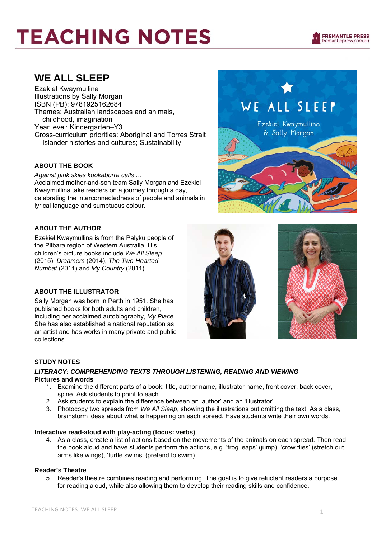### **WE ALL SLEEP**

Ezekiel Kwaymullina Illustrations by Sally Morgan ISBN (PB): 9781925162684 Themes: Australian landscapes and animals, childhood, imagination Year level: Kindergarten–Y3 Cross-curriculum priorities: Aboriginal and Torres Strait Islander histories and cultures; Sustainability

#### **ABOUT THE BOOK**

*Against pink skies kookaburra calls …*  Acclaimed mother-and-son team Sally Morgan and Ezekiel Kwaymullina take readers on a journey through a day, celebrating the interconnectedness of people and animals in lyrical language and sumptuous colour.

#### **ABOUT THE AUTHOR**

Ezekiel Kwaymullina is from the Palyku people of the Pilbara region of Western Australia. His children's picture books include *We All Sleep* (2015), *Dreamers* (2014), *The Two-Hearted Numbat* (2011) and *My Country* (2011).

#### **ABOUT THE ILLUSTRATOR**

Sally Morgan was born in Perth in 1951. She has published books for both adults and children, including her acclaimed autobiography, *My Place*. She has also established a national reputation as an artist and has works in many private and public collections.





#### **STUDY NOTES**

#### *LITERACY: COMPREHENDING TEXTS THROUGH LISTENING, READING AND VIEWING*  **Pictures and words**

- 1. Examine the different parts of a book: title, author name, illustrator name, front cover, back cover, spine. Ask students to point to each.
- 2. Ask students to explain the difference between an 'author' and an 'illustrator'.
- 3. Photocopy two spreads from *We All Sleep*, showing the illustrations but omitting the text. As a class, brainstorm ideas about what is happening on each spread. Have students write their own words.

#### **Interactive read-aloud with play-acting (focus: verbs)**

4. As a class, create a list of actions based on the movements of the animals on each spread. Then read the book aloud and have students perform the actions, e.g. 'frog leaps' (jump), 'crow flies' (stretch out arms like wings), 'turtle swims' (pretend to swim).

#### **Reader's Theatre**

5. Reader's theatre combines reading and performing. The goal is to give reluctant readers a purpose for reading aloud, while also allowing them to develop their reading skills and confidence.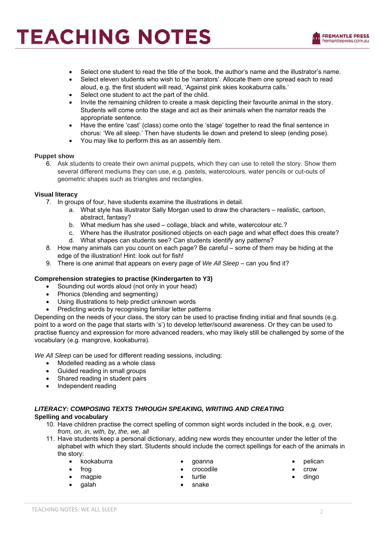- Select one student to read the title of the book, the author's name and the illustrator's name.
- Select eleven students who wish to be 'narrators'. Allocate them one spread each to read aloud, e.g. the first student will read, 'Against pink skies kookaburra calls.'
- Select one student to act the part of the child.
- Invite the remaining children to create a mask depicting their favourite animal in the story. Students will come onto the stage and act as their animals when the narrator reads the appropriate sentence.
- Have the entire 'cast' (class) come onto the 'stage' together to read the final sentence in chorus: 'We all sleep.' Then have students lie down and pretend to sleep (ending pose).
- You may like to perform this as an assembly item.

#### **Puppet show**

6. Ask students to create their own animal puppets, which they can use to retell the story. Show them several different mediums they can use, e.g. pastels, watercolours, water pencils or cut-outs of geometric shapes such as triangles and rectangles.

#### **Visual literacy**

- 7. In groups of four, have students examine the illustrations in detail.
	- a. What style has illustrator Sally Morgan used to draw the characters realistic, cartoon, abstract, fantasy?
	- b. What medium has she used collage, black and white, watercolour etc.?
	- c. Where has the illustrator positioned objects on each page and what effect does this create?
	- d. What shapes can students see? Can students identify any patterns?
- 8. How many animals can you count on each page? Be careful some of them may be hiding at the edge of the illustration! Hint: look out for fish!
- 9. There is one animal that appears on every page of *We All Sleep* can you find it?

#### **Comprehension strategies to practise (Kindergarten to Y3)**

- Sounding out words aloud (not only in your head)
- Phonics (blending and segmenting)
- Using illustrations to help predict unknown words
- Predicting words by recognising familiar letter patterns

Depending on the needs of your class, the story can be used to practise finding initial and final sounds (e.g. point to a word on the page that starts with 's') to develop letter/sound awareness. Or they can be used to practise fluency and expression for more advanced readers, who may likely still be challenged by some of the vocabulary (e.g. mangrove, kookaburra).

*We All Sleep* can be used for different reading sessions, including:

- Modelled reading as a whole class
- Guided reading in small groups
- Shared reading in student pairs
- Independent reading

#### *LITERACY: COMPOSING TEXTS THROUGH SPEAKING, WRITING AND CREATING*

#### **Spelling and vocabulary**

- 10. Have children practise the correct spelling of common sight words included in the book, e.g. *over, from, on, in, with, by, the, we, all*
- 11. Have students keep a personal dictionary, adding new words they encounter under the letter of the alphabet with which they start. Students should include the correct spellings for each of the animals in the story:
	- kookaburra
	- frog
	- magpie
	- galah
- goanna
- crocodile
- turtle
- snake
- pelican
- crow dingo
-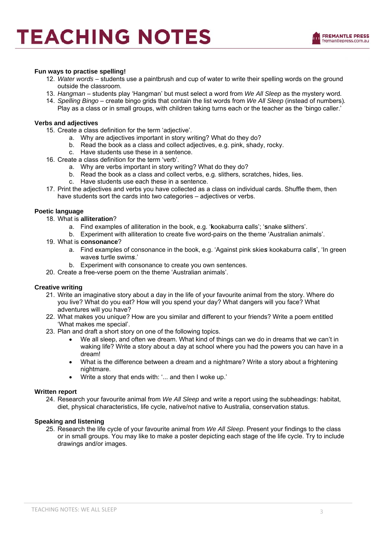

#### **Fun ways to practise spelling!**

- 12. *Water words* students use a paintbrush and cup of water to write their spelling words on the ground outside the classroom.
- 13. *Hangman*  students play 'Hangman' but must select a word from *We All Sleep* as the mystery word*.*
- 14. *Spelling Bingo*  create bingo grids that contain the list words from *We All Sleep* (instead of numbers)*.*
- Play as a class or in small groups, with children taking turns each or the teacher as the 'bingo caller.'

#### **Verbs and adjectives**

- 15. Create a class definition for the term 'adjective'.
	- a. Why are adjectives important in story writing? What do they do?
	- b. Read the book as a class and collect adjectives, e.g. pink, shady, rocky.
	- c. Have students use these in a sentence.
- 16. Create a class definition for the term 'verb'.
	- a. Why are verbs important in story writing? What do they do?
	- b. Read the book as a class and collect verbs, e.g. slithers, scratches, hides, lies.
	- c. Have students use each these in a sentence.
- 17. Print the adjectives and verbs you have collected as a class on individual cards. Shuffle them, then have students sort the cards into two categories – adjectives or verbs.

#### **Poetic language**

- 18. What is **alliteration**?
	- a. Find examples of alliteration in the book, e.g. '**k**ookaburra **c**alls'; '**s**nake **s**lithers'.
	- b. Experiment with alliteration to create five word-pairs on the theme 'Australian animals'.
- 19. What is **consonance**?
	- a. Find examples of consonance in the book, e.g. 'Against pink skie*s* kookaburra call*s*', 'In green wave*s* turtle swim*s*.'
	- b. Experiment with consonance to create you own sentences.
- 20. Create a free-verse poem on the theme 'Australian animals'.

#### **Creative writing**

- 21. Write an imaginative story about a day in the life of your favourite animal from the story. Where do you live? What do you eat? How will you spend your day? What dangers will you face? What adventures will you have?
- 22. What makes you unique? How are you similar and different to your friends? Write a poem entitled 'What makes me special'.
- 23. Plan and draft a short story on one of the following topics.
	- We all sleep, and often we dream. What kind of things can we do in dreams that we can't in waking life? Write a story about a day at school where you had the powers you can have in a dream!
	- What is the difference between a dream and a nightmare? Write a story about a frightening nightmare.
	- Write a story that ends with: '... and then I woke up.'

#### **Written report**

24. Research your favourite animal from *We All Sleep* and write a report using the subheadings: habitat, diet, physical characteristics, life cycle, native/not native to Australia, conservation status.

#### **Speaking and listening**

25. Research the life cycle of your favourite animal from *We All Sleep*. Present your findings to the class or in small groups. You may like to make a poster depicting each stage of the life cycle. Try to include drawings and/or images.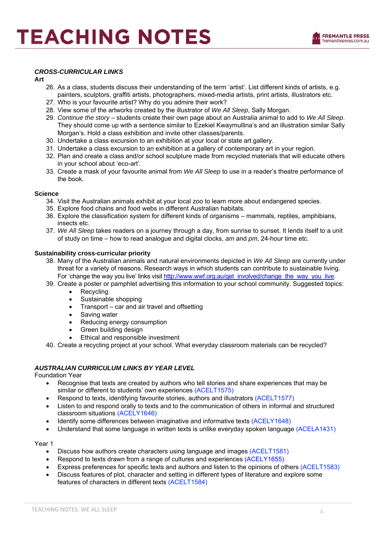#### *CROSS-CURRICULAR LINKS*

#### **Art**

- 26. As a class, students discuss their understanding of the term 'artist'. List different kinds of artists, e.g. painters, sculptors, graffiti artists, photographers, mixed-media artists, print artists, illustrators etc.
- 27. Who is your favourite artist? Why do you admire their work?
- 28. View some of the artworks created by the illustrator of *We All Sleep*, Sally Morgan.
- 29. *Continue the story*  students create their own page about an Australia animal to add to *We All Sleep*. They should come up with a sentence similar to Ezekiel Kwaymullina's and an illustration similar Sally Morgan's. Hold a class exhibition and invite other classes/parents.
- 30. Undertake a class excursion to an exhibition at your local or state art gallery.
- 31. Undertake a class excursion to an exhibition at a gallery of contemporary art in your region.
- 32. Plan and create a class and/or school sculpture made from recycled materials that will educate others in your school about 'eco-art'*.*
- 33. Create a mask of your favourite animal from *We All Sleep* to use in a reader's theatre performance of the book.

#### **Science**

- 34. Visit the Australian animals exhibit at your local zoo to learn more about endangered species.
- 35. Explore food chains and food webs in different Australian habitats.
- 36. Explore the classification system for different kinds of organisms mammals, reptiles, amphibians, insects etc.
- 37. *We All Sleep* takes readers on a journey through a day, from sunrise to sunset. It lends itself to a unit of study on time – how to read analogue and digital clocks, *am* and *pm*, 24-hour time etc.

#### **Sustainability cross-curricular priority**

- 38. Many of the Australian animals and natural environments depicted in *We All Sleep* are currently under threat for a variety of reasons. Research ways in which students can contribute to sustainable living. For 'change the way you live' links visit http://www.wwf.org.au/get\_involved/change\_the\_way\_you\_live.
- 39. Create a poster or pamphlet advertising this information to your school community. Suggested topics:
	- Recycling
	- Sustainable shopping
	- Transport car and air travel and offsetting
	- Saving water
	- Reducing energy consumption
	- Green building design
	- Ethical and responsible investment
- 40. Create a recycling project at your school. What everyday classroom materials can be recycled?

#### *AUSTRALIAN CURRICULUM LINKS BY YEAR LEVEL*

Foundation Year

- Recognise that texts are created by authors who tell stories and share experiences that may be similar or different to students' own experiences (ACELT1575)
	- Respond to texts, identifying favourite stories, authors and illustrators (ACELT1577)
- Listen to and respond orally to texts and to the communication of others in informal and structured classroom situations (ACELY1646)
- Identify some differences between imaginative and informative texts (ACELY1648)
- Understand that some language in written texts is unlike everyday spoken language (ACELA1431)

Year 1

- Discuss how authors create characters using language and images (ACELT1581)
- Respond to texts drawn from a range of cultures and experiences (ACELY1655)
- Express preferences for specific texts and authors and listen to the opinions of others (ACELT1583)
- Discuss features of plot, character and setting in different types of literature and explore some features of characters in different texts (ACELT1584)